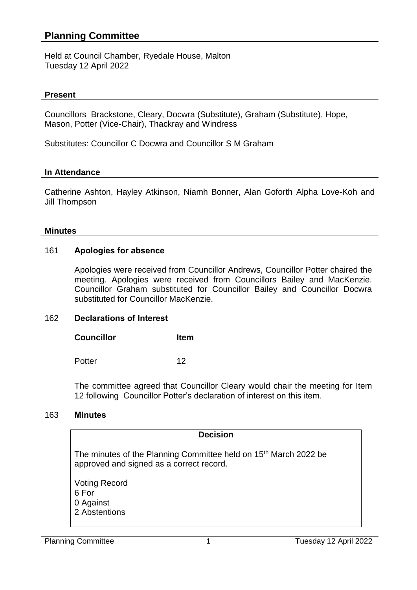## **Planning Committee**

Held at Council Chamber, Ryedale House, Malton Tuesday 12 April 2022

#### **Present**

Councillors Brackstone, Cleary, Docwra (Substitute), Graham (Substitute), Hope, Mason, Potter (Vice-Chair), Thackray and Windress

Substitutes: Councillor C Docwra and Councillor S M Graham

#### **In Attendance**

Catherine Ashton, Hayley Atkinson, Niamh Bonner, Alan Goforth Alpha Love-Koh and Jill Thompson

#### **Minutes**

## 161 **Apologies for absence**

Apologies were received from Councillor Andrews, Councillor Potter chaired the meeting. Apologies were received from Councillors Bailey and MacKenzie. Councillor Graham substituted for Councillor Bailey and Councillor Docwra substituted for Councillor MacKenzie.

## 162 **Declarations of Interest**

**Councillor Item**

Potter 12

The committee agreed that Councillor Cleary would chair the meeting for Item 12 following Councillor Potter's declaration of interest on this item.

#### 163 **Minutes**

#### **Decision**

The minutes of the Planning Committee held on 15<sup>th</sup> March 2022 be approved and signed as a correct record.

Voting Record 6 For 0 Against 2 Abstentions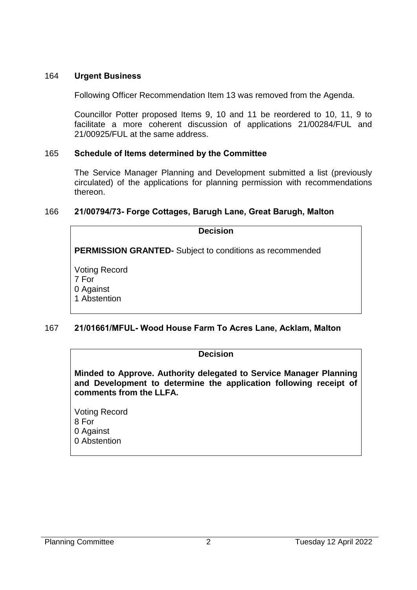### 164 **Urgent Business**

Following Officer Recommendation Item 13 was removed from the Agenda.

Councillor Potter proposed Items 9, 10 and 11 be reordered to 10, 11, 9 to facilitate a more coherent discussion of applications 21/00284/FUL and 21/00925/FUL at the same address.

#### 165 **Schedule of Items determined by the Committee**

The Service Manager Planning and Development submitted a list (previously circulated) of the applications for planning permission with recommendations thereon.

## 166 **21/00794/73- Forge Cottages, Barugh Lane, Great Barugh, Malton**

## **Decision PERMISSION GRANTED-** Subject to conditions as recommended Voting Record 7 For 0 Against

1 Abstention

## 167 **21/01661/MFUL- Wood House Farm To Acres Lane, Acklam, Malton**

#### **Decision**

**Minded to Approve. Authority delegated to Service Manager Planning and Development to determine the application following receipt of comments from the LLFA.**

Voting Record 8 For 0 Against 0 Abstention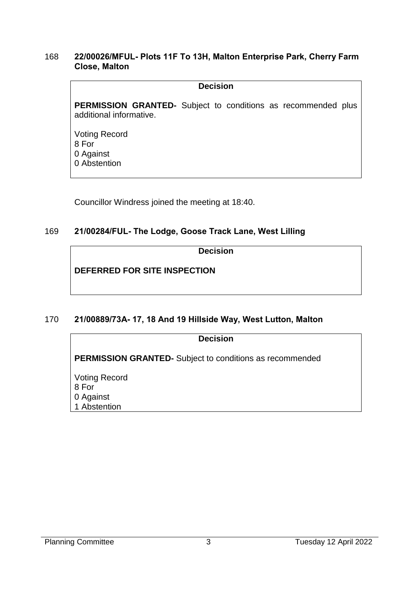#### 168 **22/00026/MFUL- Plots 11F To 13H, Malton Enterprise Park, Cherry Farm Close, Malton**

#### **Decision**

**PERMISSION GRANTED-** Subject to conditions as recommended plus additional informative.

Voting Record 8 For 0 Against 0 Abstention

Councillor Windress joined the meeting at 18:40.

## 169 **21/00284/FUL- The Lodge, Goose Track Lane, West Lilling**

**Decision**

**DEFERRED FOR SITE INSPECTION**

## 170 **21/00889/73A- 17, 18 And 19 Hillside Way, West Lutton, Malton**

| <b>Decision</b>                                                 |
|-----------------------------------------------------------------|
| <b>PERMISSION GRANTED-</b> Subject to conditions as recommended |
| <b>Voting Record</b>                                            |
| 8 For                                                           |
| 0 Against<br>1 Abstention                                       |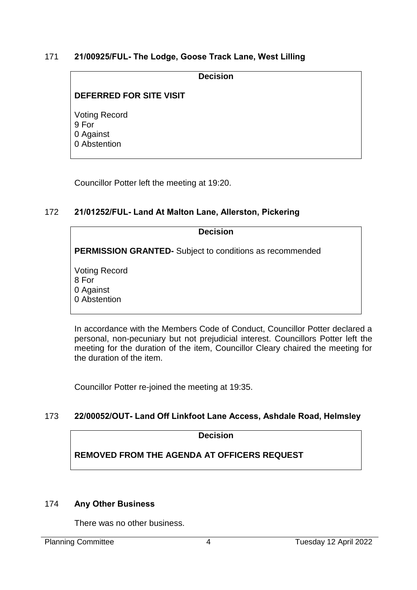## 171 **21/00925/FUL- The Lodge, Goose Track Lane, West Lilling**

**Decision**

## **DEFERRED FOR SITE VISIT**

Voting Record 9 For 0 Against 0 Abstention

Councillor Potter left the meeting at 19:20.

## 172 **21/01252/FUL- Land At Malton Lane, Allerston, Pickering**

# **Decision PERMISSION GRANTED-** Subject to conditions as recommended Voting Record 8 For 0 Against 0 Abstention

In accordance with the Members Code of Conduct, Councillor Potter declared a personal, non-pecuniary but not prejudicial interest. Councillors Potter left the meeting for the duration of the item, Councillor Cleary chaired the meeting for the duration of the item.

Councillor Potter re-joined the meeting at 19:35.

## 173 **22/00052/OUT- Land Off Linkfoot Lane Access, Ashdale Road, Helmsley**

**Decision**

## **REMOVED FROM THE AGENDA AT OFFICERS REQUEST**

## 174 **Any Other Business**

There was no other business.